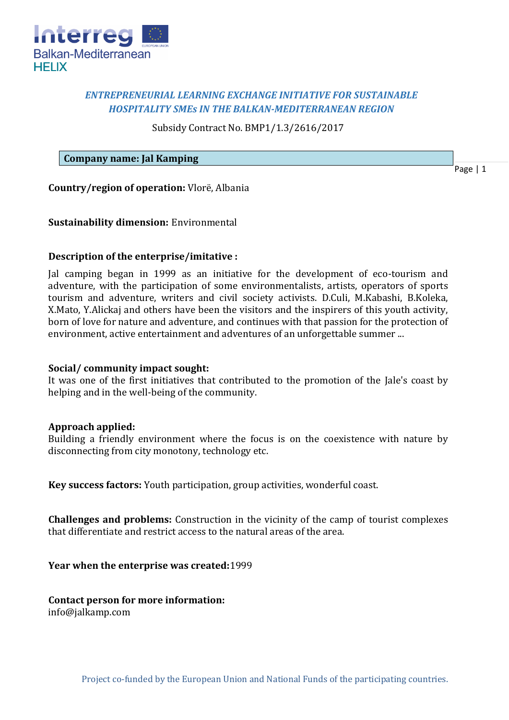

# *ENTREPRENEURIAL LEARNING EXCHANGE INITIATIVE FOR SUSTAINABLE HOSPITALITY SMEs IN THE BALKAN-MEDITERRANEAN REGION*

Subsidy Contract No. BMP1/1.3/2616/2017

## **Company name: Jal Kamping**

Page | 1

**Country/region of operation:** Vlorë, Albania

## **Sustainability dimension:** Environmental

## **Description of the enterprise/imitative :**

Jal camping began in 1999 as an initiative for the development of eco-tourism and adventure, with the participation of some environmentalists, artists, operators of sports tourism and adventure, writers and civil society activists. D.Culi, M.Kabashi, B.Koleka, X.Mato, Y.Alickaj and others have been the visitors and the inspirers of this youth activity, born of love for nature and adventure, and continues with that passion for the protection of environment, active entertainment and adventures of an unforgettable summer ...

#### **Social/ community impact sought:**

It was one of the first initiatives that contributed to the promotion of the Jale's coast by helping and in the well-being of the community.

#### **Approach applied:**

Building a friendly environment where the focus is on the coexistence with nature by disconnecting from city monotony, technology etc.

**Key success factors:** Youth participation, group activities, wonderful coast.

**Challenges and problems:** Construction in the vicinity of the camp of tourist complexes that differentiate and restrict access to the natural areas of the area.

**Year when the enterprise was created:**1999

**Contact person for more information:** info@jalkamp.com